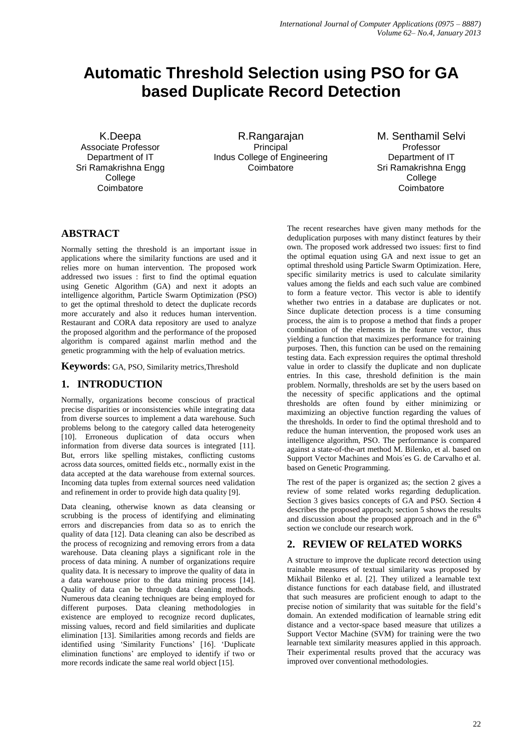# **Automatic Threshold Selection using PSO for GA based Duplicate Record Detection**

K.Deepa Associate Professor Department of IT Sri Ramakrishna Engg College **Coimbatore** 

R.Rangarajan Principal Indus College of Engineering Coimbatore

M. Senthamil Selvi Professor Department of IT Sri Ramakrishna Engg College **Coimbatore** 

# **ABSTRACT**

Normally setting the threshold is an important issue in applications where the similarity functions are used and it relies more on human intervention. The proposed work addressed two issues : first to find the optimal equation using Genetic Algorithm (GA) and next it adopts an intelligence algorithm, Particle Swarm Optimization (PSO) to get the optimal threshold to detect the duplicate records more accurately and also it reduces human intervention. Restaurant and CORA data repository are used to analyze the proposed algorithm and the performance of the proposed algorithm is compared against marlin method and the genetic programming with the help of evaluation metrics.

**Keywords**: GA, PSO, Similarity metrics,Threshold

# **1. INTRODUCTION**

Normally, organizations become conscious of practical precise disparities or inconsistencies while integrating data from diverse sources to implement a data warehouse. Such problems belong to the category called data heterogeneity [10]. Erroneous duplication of data occurs when information from diverse data sources is integrated [11]. But, errors like spelling mistakes, conflicting customs across data sources, omitted fields etc., normally exist in the data accepted at the data warehouse from external sources. Incoming data tuples from external sources need validation and refinement in order to provide high data quality [9].

Data cleaning, otherwise known as data cleansing or scrubbing is the process of identifying and eliminating errors and discrepancies from data so as to enrich the quality of data [12]. Data cleaning can also be described as the process of recognizing and removing errors from a data warehouse. Data cleaning plays a significant role in the process of data mining. A number of organizations require quality data. It is necessary to improve the quality of data in a data warehouse prior to the data mining process [14]. Quality of data can be through data cleaning methods. Numerous data cleaning techniques are being employed for different purposes. Data cleaning methodologies in existence are employed to recognize record duplicates, missing values, record and field similarities and duplicate elimination [13]. Similarities among records and fields are identified using 'Similarity Functions' [16]. 'Duplicate elimination functions' are employed to identify if two or more records indicate the same real world object [15].

The recent researches have given many methods for the deduplication purposes with many distinct features by their own. The proposed work addressed two issues: first to find the optimal equation using GA and next issue to get an optimal threshold using Particle Swarm Optimization. Here, specific similarity metrics is used to calculate similarity values among the fields and each such value are combined to form a feature vector. This vector is able to identify whether two entries in a database are duplicates or not. Since duplicate detection process is a time consuming process, the aim is to propose a method that finds a proper combination of the elements in the feature vector, thus yielding a function that maximizes performance for training purposes. Then, this function can be used on the remaining testing data. Each expression requires the optimal threshold value in order to classify the duplicate and non duplicate entries. In this case, threshold definition is the main problem. Normally, thresholds are set by the users based on the necessity of specific applications and the optimal thresholds are often found by either minimizing or maximizing an objective function regarding the values of the thresholds. In order to find the optimal threshold and to reduce the human intervention, the proposed work uses an intelligence algorithm, PSO. The performance is compared against a state-of-the-art method M. Bilenko, et al. based on Support Vector Machines and Mois´es G. de Carvalho et al. based on Genetic Programming.

The rest of the paper is organized as; the section 2 gives a review of some related works regarding deduplication. Section 3 gives basics concepts of GA and PSO. Section 4 describes the proposed approach; section 5 shows the results and discussion about the proposed approach and in the  $6<sup>th</sup>$ section we conclude our research work.

## **2. REVIEW OF RELATED WORKS**

A structure to improve the duplicate record detection using trainable measures of textual similarity was proposed by Mikhail Bilenko et al. [2]. They utilized a learnable text distance functions for each database field, and illustrated that such measures are proficient enough to adapt to the precise notion of similarity that was suitable for the field's domain. An extended modification of learnable string edit distance and a vector-space based measure that utilizes a Support Vector Machine (SVM) for training were the two learnable text similarity measures applied in this approach. Their experimental results proved that the accuracy was improved over conventional methodologies.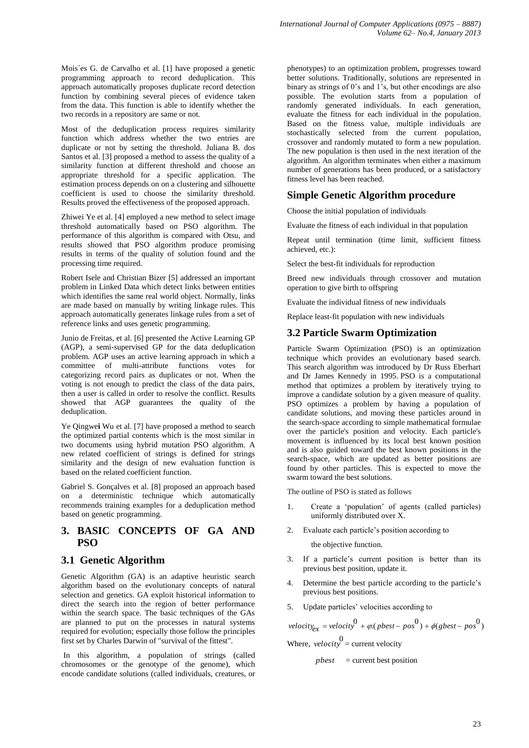Mois´es G. de Carvalho et al. [1] have proposed a genetic programming approach to record deduplication. This approach automatically proposes duplicate record detection function by combining several pieces of evidence taken from the data. This function is able to identify whether the two records in a repository are same or not.

Most of the deduplication process requires similarity function which address whether the two entries are duplicate or not by setting the threshold. Juliana B. dos Santos et al. [3] proposed a method to assess the quality of a similarity function at different threshold and choose an appropriate threshold for a specific application. The estimation process depends on on a clustering and silhouette coefficient is used to choose the similarity threshold. Results proved the effectiveness of the proposed approach.

Zhiwei Ye et al. [4] employed a new method to select image threshold automatically based on PSO algorithm. The performance of this algorithm is compared with Otsu, and results showed that PSO algorithm produce promising results in terms of the quality of solution found and the processing time required.

Robert Isele and Christian Bizer [5] addressed an important problem in Linked Data which detect links between entities which identifies the same real world object. Normally, links are made based on manually by writing linkage rules. This approach automatically generates linkage rules from a set of reference links and uses genetic programming.

Junio de Freitas, et al. [6] presented the Active Learning GP (AGP), a semi-supervised GP for the data deduplication problem. AGP uses an active learning approach in which a committee of multi-attribute functions votes for categorizing record pairs as duplicates or not. When the voting is not enough to predict the class of the data pairs, then a user is called in order to resolve the conflict. Results showed that AGP guarantees the quality of the deduplication.

Ye Qingwe**i** Wu et al. [7] have proposed a method to search the optimized partial contents which is the most similar in two documents using hybrid mutation PSO algorithm. A new related coefficient of strings is defined for strings similarity and the design of new evaluation function is based on the related coefficient function.

Gabriel S. Gonçalves et al. [8] proposed an approach based on a deterministic technique which automatically recommends training examples for a deduplication method based on genetic programming.

## **3. BASIC CONCEPTS OF GA AND PSO**

# **3.1 Genetic Algorithm**

Genetic Algorithm (GA) is an adaptive heuristic search algorithm based on the evolutionary concepts of natural selection and genetics. GA exploit historical information to direct the search into the region of better performance within the search space. The basic techniques of the GAs are planned to put on the processes in natural systems required for evolution; especially those follow the principles first set by Charles Darwin of "survival of the fittest".

In this algorithm, a [population](http://en.wikipedia.org/wiki/Population) of strings (called [chromosomes](http://en.wikipedia.org/wiki/Chromosome_%28genetic_algorithm%29) or the [genotype](http://en.wikipedia.org/wiki/Genotype) of the [genome\)](http://en.wikipedia.org/wiki/Genome), which encode [candidate solutions](http://en.wikipedia.org/wiki/Candidate_solution) (called individuals, creatures, or [phenotypes\)](http://en.wikipedia.org/wiki/Phenotype) to an optimization problem, progresses toward better solutions. Traditionally, solutions are represented in binary as strings of 0's and 1's, but other encodings are also possible. The evolution starts from a population of randomly generated individuals. In each generation, evaluate the fitness for each individual in the population. Based on the fitness value, multiple individuals are [stochastically](http://en.wikipedia.org/wiki/Stochastics) selected from the current population, crossover and randomly mutated to form a new population. The new population is then used in the next iteration of the algorithm. An algorithm terminates when either a maximum number of generations has been produced, or a satisfactory fitness level has been reached.

# **Simple Genetic Algorithm procedure**

Choose the initial [population](http://en.wikipedia.org/wiki/Population) o[f individuals](http://en.wikipedia.org/wiki/Individual)

Evaluate th[e fitness](http://en.wikipedia.org/wiki/Fitness_%28biology%29) of each individual in that population

Repeat until termination (time limit, sufficient fitness achieved, etc.):

Select the best-fit individuals fo[r reproduction](http://en.wikipedia.org/wiki/Reproduce)

[Breed](http://en.wikipedia.org/wiki/Breed) new individuals through [crossover](http://en.wikipedia.org/wiki/Crossover_%28genetic_algorithm%29) and [mutation](http://en.wikipedia.org/wiki/Mutation_%28genetic_algorithm%29) operation to give birth to [offspring](http://en.wikipedia.org/wiki/Offspring)

Evaluate the individual fitness of new individuals

Replace least-fit population with new individuals

# **3.2 Particle Swarm Optimization**

Particle Swarm Optimization (PSO) is an optimization technique which provides an evolutionary based search. This search algorithm was introduced by Dr Russ Eberhart and Dr James Kennedy in 1995. PSO is a computational method that optimizes a problem by iteratively trying to improve a candidate solution by a given measure of quality. PSO optimizes a problem by having a population of candidate solutions, and moving these particles around in the search-space according to simple mathematical formulae over the particle's position and velocity. Each particle's movement is influenced by its local best known position and is also guided toward the best known positions in the search-space, which are updated as better positions are found by other particles. This is expected to move the swarm toward the best solutions.

The outline of PSO is stated as follows

- 1. Create a 'population' of agents (called particles) uniformly distributed over X.
- 2. Evaluate each particle's position according to

the objective function.

- 3. If a particle's current position is better than its previous best position, update it.
- 4. Determine the best particle according to the particle's previous best positions.
- 5. Update particles' velocities according to

 $\text{velocity}_{\text{ex}} = \text{velocity}_{\text{ex}}^{0} + \varphi(\text{pbest} - \text{pos}^{0}) + \varphi(\text{qbest} - \text{pos}^{0})$ Where,  $velocity =$  current velocity

*pbest* = current best position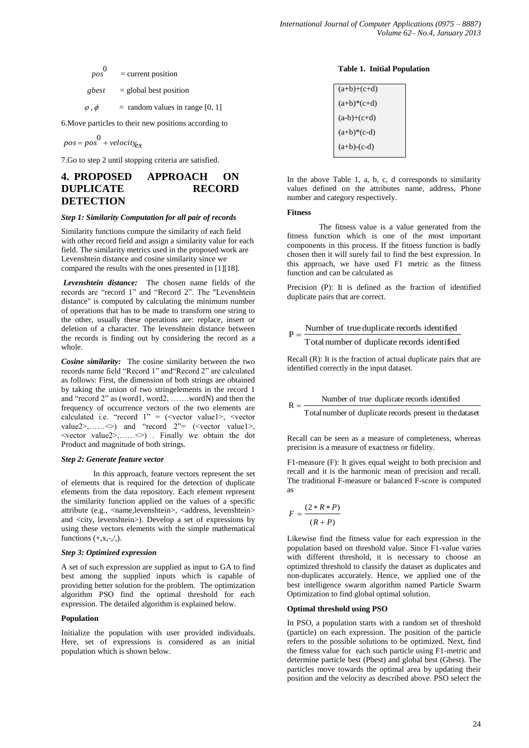$$
pos0 = current position
$$
  
\n
$$
gbest = global best position
$$
  
\n
$$
φ, φ = random values in range [0, 1]
$$

6.Move particles to their new positions according to

$$
pos = pos^0 + velocity_{ex}
$$

7.Go to step 2 until stopping criteria are satisfied.

### **4. PROPOSED APPROACH ON DUPLICATE RECORD DETECTION**

#### *Step 1: Similarity Computation for all pair of records*

Similarity functions compute the similarity of each field with other record field and assign a similarity value for each field. The similarity metrics used in the proposed work are Levenshtein distance and cosine similarity since we compared the results with the ones presented in [1][18].

*Levenshtein distance:* The chosen name fields of the records are "record 1" and "Record 2". The "Levenshtein distance" is computed by calculating the minimum number of operations that has to be made to transform one string to the other, usually these operations are: replace, insert or deletion of a character. The levenshtein distance between the records is finding out by considering the record as a whole.

*Cosine similarity:* The cosine similarity between the two records name field "Record 1" and"Record 2" are calculated as follows: First, the dimension of both strings are obtained by taking the union of two stringelements in the record 1 and "record 2" as (word1, word2, …….wordN) and then the frequency of occurrence vectors of the two elements are calculated i.e. "record  $1" = (\le$ vector value1>,  $\le$ vector value2>,...... $\Diamond$ ) and "record 2"= (<vector value1>, <vector value2>,……<>) . Finally we obtain the dot Product and magnitude of both strings.

#### *Step 2: Generate feature vector*

In this approach, feature vectors represent the set of elements that is required for the detection of duplicate elements from the data repository. Each element represent the similarity function applied on the values of a specific attribute (e.g., <name,levenshtein>, <address, levenshtein> and <city, levenshtein>). Develop a set of expressions by using these vectors elements with the simple mathematical functions  $(+,x,-,/$ ).

#### *Step 3: Optimized expression*

A set of such expression are supplied as input to GA to find best among the supplied inputs which is capable of providing better solution for the problem. The optimization algorithm PSO find the optimal threshold for each expression. The detailed algorithm is explained below.

#### **Population**

Initialize the population with user provided individuals. Here, set of expressions is considered as an initial population which is shown below.

#### **Table 1. Initial Population**

| $(a+b)+(c+d)$ |  |
|---------------|--|
| $(a+b)*(c+d)$ |  |
| $(a-b)+(c+d)$ |  |
| $(a+b)*(c-d)$ |  |
| $(a+b)-(c-d)$ |  |
|               |  |

In the above Table 1, a, b, c, d corresponds to similarity values defined on the attributes name, address, Phone number and category respectively.

#### **Fitness**

 $R =$ 

The fitness value is a value generated from the fitness function which is one of the most important components in this process. If the fitness function is badly chosen then it will surely fail to find the best expression. In this approach, we have used F1 metric as the fitness function and can be calculated as

Precision (P): It is defined as the fraction of identified duplicate pairs that are correct.

# $P = \frac{\text{Number of true duplicate records identified}}{}$

Totalnumber of duplicate records identified

Recall (R): It is the fraction of actual duplicate pairs that are identified correctly in the input dataset.

Number of true duplicate records identified

Total number of duplicate records present in thedataset

Recall can be seen as a measure of completeness, whereas precision is a measure of exactness or fidelity.

F1-measure (F): It gives equal weight to both precision and recall and it is the harmonic mean of precision and recall. The traditional F-measure or balanced F-score is computed as

$$
F = \frac{(2 * R * P)}{(R + P)}
$$

Likewise find the fitness value for each expression in the population based on threshold value. Since F1-value varies with different threshold, it is necessary to choose an optimized threshold to classify the dataset as duplicates and non-duplicates accurately. Hence, we applied one of the best intelligence swarm algorithm named Particle Swarm Optimization to find global optimal solution.

#### **Optimal threshold using PSO**

In PSO, a population starts with a random set of threshold (particle) on each expression. The position of the particle refers to the possible solutions to be optimized. Next, find the fitness value for each such particle using F1-metric and determine particle best (Pbest) and global best (Gbest). The particles move towards the optimal area by updating their position and the velocity as described above. PSO select the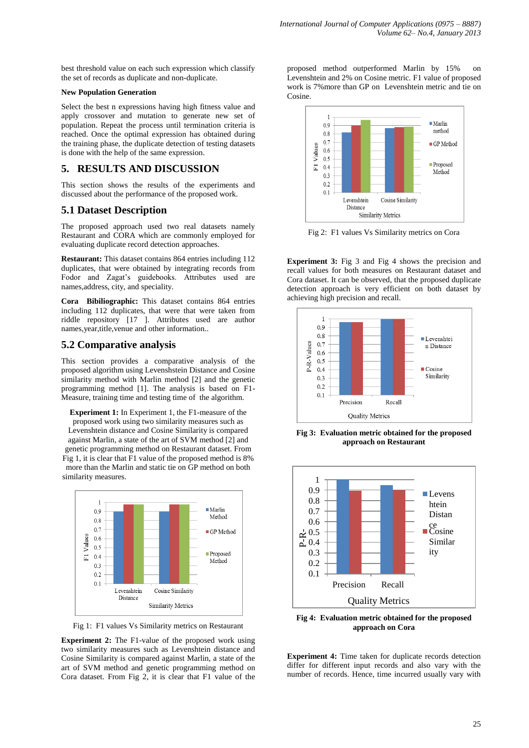best threshold value on each such expression which classify the set of records as duplicate and non-duplicate.

#### **New Population Generation**

Select the best n expressions having high fitness value and apply crossover and mutation to generate new set of population. Repeat the process until termination criteria is reached. Once the optimal expression has obtained during the training phase, the duplicate detection of testing datasets is done with the help of the same expression.

### **5. RESULTS AND DISCUSSION**

This section shows the results of the experiments and discussed about the performance of the proposed work.

### **5.1 Dataset Description**

The proposed approach used two real datasets namely Restaurant and CORA which are commonly employed for evaluating duplicate record detection approaches.

**Restaurant:** This dataset contains 864 entries including 112 duplicates, that were obtained by integrating records from Fodor and Zagat's guidebooks. Attributes used are names,address, city, and speciality.

**Cora Bibiliographic:** This dataset contains 864 entries including 112 duplicates, that were that were taken from riddle repository [17 ]. Attributes used are author names,year,title,venue and other information..

### **5.2 Comparative analysis**

This section provides a comparative analysis of the proposed algorithm using Levenshstein Distance and Cosine similarity method with Marlin method [2] and the genetic programming method [1]. The analysis is based on F1- Measure, training time and testing time of the algorithm.

**Experiment 1:** In Experiment 1, the F1-measure of the proposed work using two similarity measures such as Levenshtein distance and Cosine Similarity is compared against Marlin, a state of the art of SVM method [2] and genetic programming method on Restaurant dataset. From Fig 1, it is clear that F1 value of the proposed method is 8% more than the Marlin and static tie on GP method on both similarity measures.



Fig 1: F1 values Vs Similarity metrics on Restaurant

**Experiment 2:** The F1-value of the proposed work using two similarity measures such as Levenshtein distance and Cosine Similarity is compared against Marlin, a state of the art of SVM method and genetic programming method on Cora dataset. From Fig 2, it is clear that F1 value of the proposed method outperformed Marlin by 15% on Levenshtein and 2% on Cosine metric. F1 value of proposed work is 7%more than GP on Levenshtein metric and tie on Cosine.



Fig 2: F1 values Vs Similarity metrics on Cora

**Experiment 3:** Fig 3 and Fig 4 shows the precision and recall values for both measures on Restaurant dataset and Cora dataset. It can be observed, that the proposed duplicate detection approach is very efficient on both dataset by achieving high precision and recall.



**Fig 3: Evaluation metric obtained for the proposed approach on Restaurant**



**Fig 4: Evaluation metric obtained for the proposed approach on Cora**

**Experiment 4:** Time taken for duplicate records detection differ for different input records and also vary with the number of records. Hence, time incurred usually vary with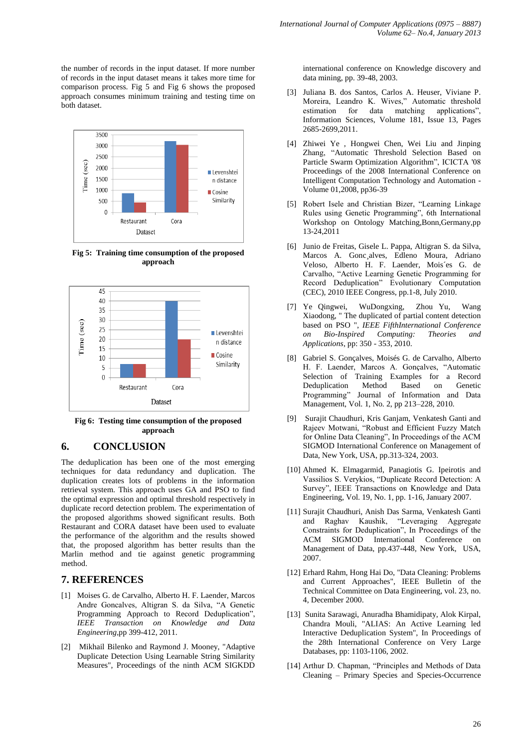the number of records in the input dataset. If more number of records in the input dataset means it takes more time for comparison process. Fig 5 and Fig 6 shows the proposed approach consumes minimum training and testing time on both dataset.



**Fig 5: Training time consumption of the proposed approach**



**Fig 6: Testing time consumption of the proposed approach**

## **6. CONCLUSION**

The deduplication has been one of the most emerging techniques for data redundancy and duplication. The duplication creates lots of problems in the information retrieval system. This approach uses GA and PSO to find the optimal expression and optimal threshold respectively in duplicate record detection problem. The experimentation of the proposed algorithms showed significant results. Both Restaurant and CORA dataset have been used to evaluate the performance of the algorithm and the results showed that, the proposed algorithm has better results than the Marlin method and tie against genetic programming method.

### **7. REFERENCES**

- [1] Moises G. de Carvalho, Alberto H. F. Laender, Marcos Andre Goncalves, Altigran S. da Silva, "A Genetic Programming Approach to Record Deduplication", *IEEE Transaction on Knowledge and Data Engineering*,pp 399-412, 2011.
- [2] Mikhail Bilenko and Raymond J. Mooney, "Adaptive Duplicate Detection Using Learnable String Similarity Measures", Proceedings of the ninth ACM SIGKDD

international conference on Knowledge discovery and data mining, pp. 39-48, 2003.

- [3] Juliana B. dos Santos, Carlos A. Heuser, Viviane P. Moreira, Leandro K. Wives," Automatic threshold estimation for data matching applications", Information Sciences, Volume 181, Issue 13, Pages 2685-2699,2011.
- [4] Zhiwei Ye , Hongwei Chen, Wei Liu and Jinping Zhang, "Automatic Threshold Selection Based on Particle Swarm Optimization Algorithm", ICICTA '08 Proceedings of the 2008 International Conference on Intelligent Computation Technology and Automation - Volume 01,2008, pp36-39
- [5] Robert Isele and Christian Bizer, "Learning Linkage Rules using Genetic Programming", 6th International Workshop on Ontology Matching,Bonn,Germany,pp 13-24,2011
- [6] Junio de Freitas, Gisele L. Pappa, Altigran S. da Silva, Marcos A. Gonc¸alves, Edleno Moura, Adriano Veloso, Alberto H. F. Laender, Mois´es G. de Carvalho, "Active Learning Genetic Programming for Record Deduplication" Evolutionary Computation (CEC), 2010 IEEE Congress, pp.1-8, July 2010.
- [7] Ye Qingwei, WuDongxing, Zhou Yu, Wang Xiaodong, " The duplicated of partial content detection based on PSO ", *IEEE FifthInternational Conference on Bio-Inspired Computing: Theories and Applications*, pp: 350 - 353, 2010.
- [8] Gabriel S. Gonçalves, Moisés G. de Carvalho, Alberto H. F. Laender, Marcos A. Gonçalves, "Automatic Selection of Training Examples for a Record Deduplication Method Based on Genetic Programming" Journal of Information and Data Management, Vol. 1, No. 2, pp 213–228, 2010.
- [9] Surajit Chaudhuri, Kris Ganjam, Venkatesh Ganti and Rajeev Motwani, "Robust and Efficient Fuzzy Match for Online Data Cleaning", In Proceedings of the ACM SIGMOD International Conference on Management of Data, New York, USA, pp.313-324, 2003.
- [10] Ahmed K. Elmagarmid, Panagiotis G. Ipeirotis and Vassilios S. Verykios, "Duplicate Record Detection: A Survey", IEEE Transactions on Knowledge and Data Engineering, Vol. 19, No. 1, pp. 1-16, January 2007.
- [11] Surajit Chaudhuri, Anish Das Sarma, Venkatesh Ganti and Raghav Kaushik, "Leveraging Aggregate Constraints for Deduplication", In Proceedings of the ACM SIGMOD International Conference on Management of Data, pp.437-448, New York, USA, 2007.
- [12] Erhard Rahm, Hong Hai Do, "Data Cleaning: Problems and Current Approaches", IEEE Bulletin of the Technical Committee on Data Engineering, vol. 23, no. 4, December 2000.
- [13] Sunita Sarawagi, Anuradha Bhamidipaty, Alok Kirpal, Chandra Mouli, "ALIAS: An Active Learning led Interactive Deduplication System", In Proceedings of the 28th International Conference on Very Large Databases, pp: 1103-1106, 2002.
- [14] Arthur D. Chapman, "Principles and Methods of Data Cleaning – Primary Species and Species-Occurrence